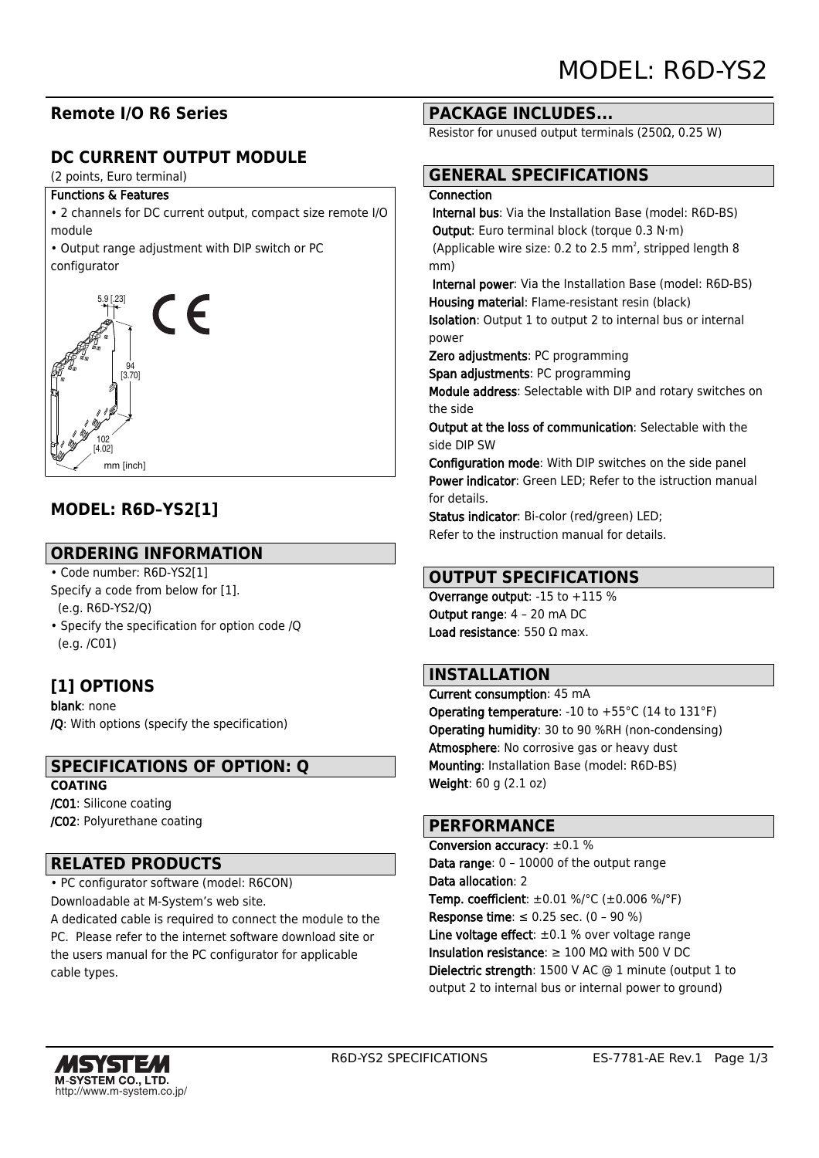## **Remote I/O R6 Series**

## **DC CURRENT OUTPUT MODULE**

(2 points, Euro terminal)

#### Functions & Features

• 2 channels for DC current output, compact size remote I/O module

• Output range adjustment with DIP switch or PC configurator



## **MODEL: R6D–YS2[1]**

### **ORDERING INFORMATION**

• Code number: R6D-YS2[1] Specify a code from below for [1]. (e.g. R6D-YS2/Q)

• Specify the specification for option code /Q (e.g. /C01)

## **[1] OPTIONS**

blank: none /Q: With options (specify the specification)

### **SPECIFICATIONS OF OPTION: Q**

#### **COATING**

/C01: Silicone coating /C02: Polyurethane coating

### **RELATED PRODUCTS**

• PC configurator software (model: R6CON) Downloadable at M-System's web site.

A dedicated cable is required to connect the module to the PC. Please refer to the internet software download site or the users manual for the PC configurator for applicable cable types.

#### **PACKAGE INCLUDES...**

Resistor for unused output terminals (250Ω, 0.25 W)

# **GENERAL SPECIFICATIONS**

#### **Connection**

 Internal bus: Via the Installation Base (model: R6D-BS) Output: Euro terminal block (torque 0.3 N·m) (Applicable wire size: 0.2 to 2.5 mm<sup>2</sup>, stripped length 8 mm)

 Internal power: Via the Installation Base (model: R6D-BS) Housing material: Flame-resistant resin (black)

Isolation: Output 1 to output 2 to internal bus or internal power

Zero adjustments: PC programming

Span adjustments: PC programming

Module address: Selectable with DIP and rotary switches on the side

Output at the loss of communication: Selectable with the side DIP SW

Configuration mode: With DIP switches on the side panel Power indicator: Green LED; Refer to the istruction manual for details.

Status indicator: Bi-color (red/green) LED; Refer to the instruction manual for details.

### **OUTPUT SPECIFICATIONS**

Overrange output: -15 to +115 % Output range: 4 – 20 mA DC Load resistance: 550 Ω max.

#### **INSTALLATION**

Current consumption: 45 mA Operating temperature: -10 to +55°C (14 to 131°F) Operating humidity: 30 to 90 %RH (non-condensing) Atmosphere: No corrosive gas or heavy dust Mounting: Installation Base (model: R6D-BS) Weight: 60 g (2.1 oz)

#### **PERFORMANCE**

Conversion accuracy: ±0.1 % Data range: 0 – 10000 of the output range Data allocation: 2 Temp. coefficient: ±0.01 %/°C (±0.006 %/°F) **Response time**: ≤ 0.25 sec.  $(0 - 90 %)$ Line voltage effect:  $\pm 0.1$  % over voltage range Insulation resistance:  $\geq 100$  M $\Omega$  with 500 V DC Dielectric strength: 1500 V AC @ 1 minute (output 1 to output 2 to internal bus or internal power to ground)

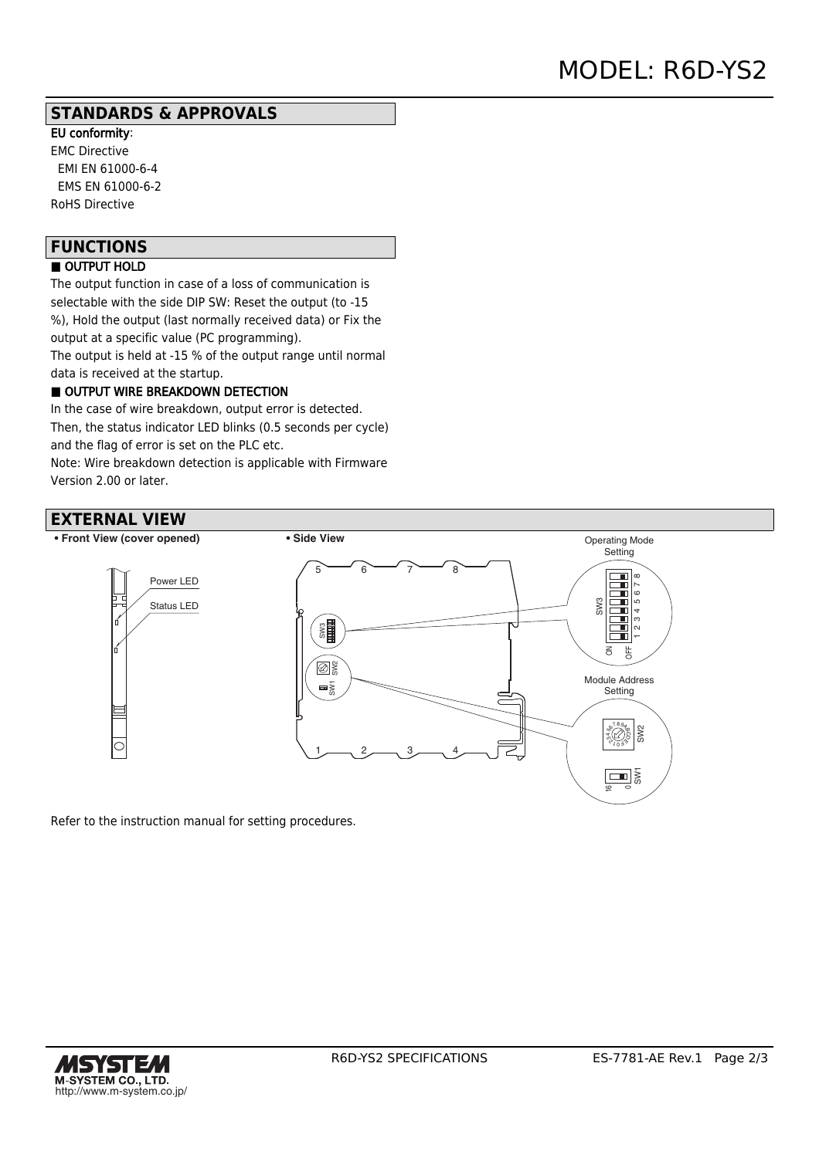#### **STANDARDS & APPROVALS**

EU conformity: EMC Directive EMI EN 61000-6-4 EMS EN 61000-6-2 RoHS Directive

## **FUNCTIONS**

### ■ OUTPUT HOLD

The output function in case of a loss of communication is selectable with the side DIP SW: Reset the output (to -15 %), Hold the output (last normally received data) or Fix the output at a specific value (PC programming). The output is held at -15 % of the output range until normal

data is received at the startup.

#### OUTPUT WIRE BREAKDOWN DETECTION

In the case of wire breakdown, output error is detected. Then, the status indicator LED blinks (0.5 seconds per cycle) and the flag of error is set on the PLC etc.

Note: Wire breakdown detection is applicable with Firmware Version 2.00 or later.

## **EXTERNAL VIEW**



Refer to the instruction manual for setting procedures.